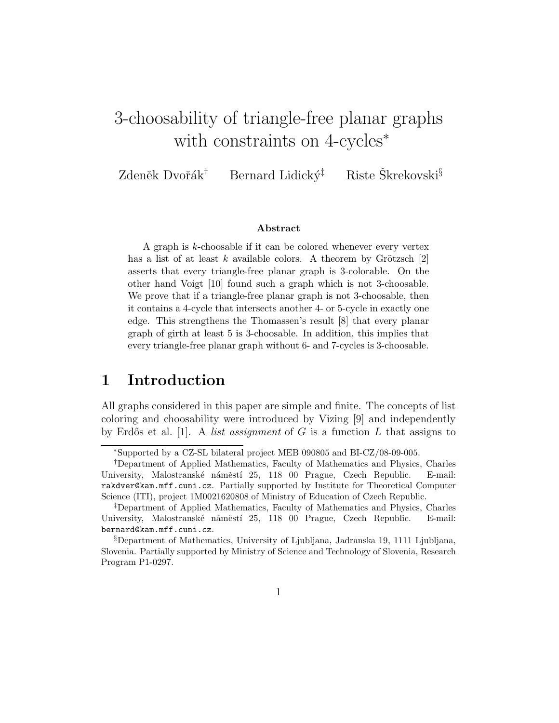# 3-choosability of triangle-free planar graphs with constraints on 4-cycles<sup>∗</sup>

Zdeněk Dvořák<sup>†</sup> Bernard Lidický<sup>‡</sup> Riste Škrekovski<sup>§</sup>

#### Abstract

A graph is k-choosable if it can be colored whenever every vertex has a list of at least k available colors. A theorem by Grötzsch  $[2]$ asserts that every triangle-free planar graph is 3-colorable. On the other hand Voigt [10] found such a graph which is not 3-choosable. We prove that if a triangle-free planar graph is not 3-choosable, then it contains a 4-cycle that intersects another 4- or 5-cycle in exactly one edge. This strengthens the Thomassen's result [8] that every planar graph of girth at least 5 is 3-choosable. In addition, this implies that every triangle-free planar graph without 6- and 7-cycles is 3-choosable.

### 1 Introduction

All graphs considered in this paper are simple and finite. The concepts of list coloring and choosability were introduced by Vizing [9] and independently by Erdős et al. [1]. A *list assignment* of G is a function L that assigns to

<sup>∗</sup>Supported by a CZ-SL bilateral project MEB 090805 and BI-CZ/08-09-005.

<sup>†</sup>Department of Applied Mathematics, Faculty of Mathematics and Physics, Charles University, Malostranské náměstí 25, 118 00 Prague, Czech Republic. E-mail: rakdver@kam.mff.cuni.cz. Partially supported by Institute for Theoretical Computer Science (ITI), project 1M0021620808 of Ministry of Education of Czech Republic.

<sup>‡</sup>Department of Applied Mathematics, Faculty of Mathematics and Physics, Charles University, Malostranské náměstí 25, 118 00 Prague, Czech Republic. E-mail: bernard@kam.mff.cuni.cz.

<sup>§</sup>Department of Mathematics, University of Ljubljana, Jadranska 19, 1111 Ljubljana, Slovenia. Partially supported by Ministry of Science and Technology of Slovenia, Research Program P1-0297.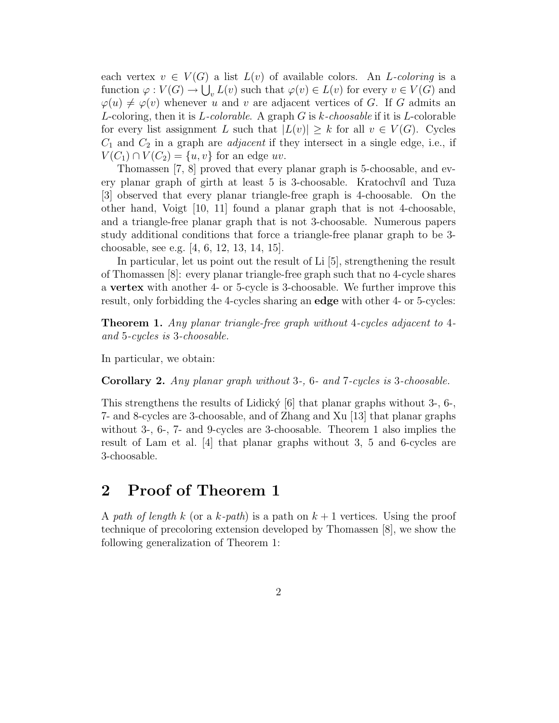each vertex  $v \in V(G)$  a list  $L(v)$  of available colors. An L-coloring is a function  $\varphi: V(G) \to \bigcup_{v} L(v)$  such that  $\varphi(v) \in L(v)$  for every  $v \in V(G)$  and  $\varphi(u) \neq \varphi(v)$  whenever u and v are adjacent vertices of G. If G admits an L-coloring, then it is  $L$ -colorable. A graph G is k-choosable if it is L-colorable for every list assignment L such that  $|L(v)| \geq k$  for all  $v \in V(G)$ . Cycles  $C_1$  and  $C_2$  in a graph are *adjacent* if they intersect in a single edge, i.e., if  $V(C_1) \cap V(C_2) = \{u, v\}$  for an edge uv.

Thomassen [7, 8] proved that every planar graph is 5-choosable, and every planar graph of girth at least 5 is 3-choosable. Kratochvíl and Tuza [3] observed that every planar triangle-free graph is 4-choosable. On the other hand, Voigt [10, 11] found a planar graph that is not 4-choosable, and a triangle-free planar graph that is not 3-choosable. Numerous papers study additional conditions that force a triangle-free planar graph to be 3 choosable, see e.g. [4, 6, 12, 13, 14, 15].

In particular, let us point out the result of Li [5], strengthening the result of Thomassen [8]: every planar triangle-free graph such that no 4-cycle shares a vertex with another 4- or 5-cycle is 3-choosable. We further improve this result, only forbidding the 4-cycles sharing an edge with other 4- or 5-cycles:

Theorem 1. Any planar triangle-free graph without 4-cycles adjacent to 4 and 5-cycles is 3-choosable.

In particular, we obtain:

Corollary 2. Any planar graph without 3-, 6- and 7-cycles is 3-choosable.

This strengthens the results of Lidicky  $[6]$  that planar graphs without 3-, 6-, 7- and 8-cycles are 3-choosable, and of Zhang and Xu [13] that planar graphs without 3-, 6-, 7- and 9-cycles are 3-choosable. Theorem 1 also implies the result of Lam et al. [4] that planar graphs without 3, 5 and 6-cycles are 3-choosable.

## 2 Proof of Theorem 1

A path of length k (or a k-path) is a path on  $k+1$  vertices. Using the proof technique of precoloring extension developed by Thomassen [8], we show the following generalization of Theorem 1: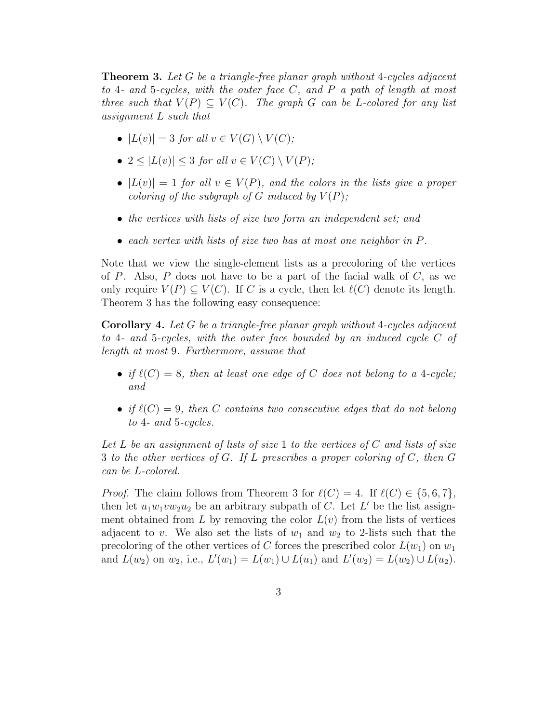**Theorem 3.** Let G be a triangle-free planar graph without 4-cycles adjacent to 4- and 5-cycles, with the outer face  $C$ , and  $P$  a path of length at most three such that  $V(P) \subseteq V(C)$ . The graph G can be L-colored for any list assignment L such that

- $|L(v)| = 3$  for all  $v \in V(G) \setminus V(C)$ ;
- $2 \leq |L(v)| \leq 3$  for all  $v \in V(C) \setminus V(P)$ ;
- $|L(v)| = 1$  for all  $v \in V(P)$ , and the colors in the lists give a proper coloring of the subgraph of G induced by  $V(P)$ ;
- the vertices with lists of size two form an independent set; and
- each vertex with lists of size two has at most one neighbor in P.

Note that we view the single-element lists as a precoloring of the vertices of P. Also, P does not have to be a part of the facial walk of  $C$ , as we only require  $V(P) \subseteq V(C)$ . If C is a cycle, then let  $\ell(C)$  denote its length. Theorem 3 has the following easy consequence:

Corollary 4. Let G be a triangle-free planar graph without 4-cycles adjacent to 4- and 5-cycles, with the outer face bounded by an induced cycle C of length at most 9. Furthermore, assume that

- if  $\ell(C) = 8$ , then at least one edge of C does not belong to a 4-cycle; and
- if  $\ell(C) = 9$ , then C contains two consecutive edges that do not belong to 4- and 5-cycles.

Let L be an assignment of lists of size 1 to the vertices of C and lists of size 3 to the other vertices of G. If L prescribes a proper coloring of C, then G can be L-colored.

*Proof.* The claim follows from Theorem 3 for  $\ell(C) = 4$ . If  $\ell(C) \in \{5, 6, 7\}$ , then let  $u_1w_1vw_2u_2$  be an arbitrary subpath of C. Let L' be the list assignment obtained from L by removing the color  $L(v)$  from the lists of vertices adjacent to v. We also set the lists of  $w_1$  and  $w_2$  to 2-lists such that the precoloring of the other vertices of C forces the prescribed color  $L(w_1)$  on  $w_1$ and  $L(w_2)$  on  $w_2$ , i.e.,  $L'(w_1) = L(w_1) \cup L(u_1)$  and  $L'(w_2) = L(w_2) \cup L(u_2)$ .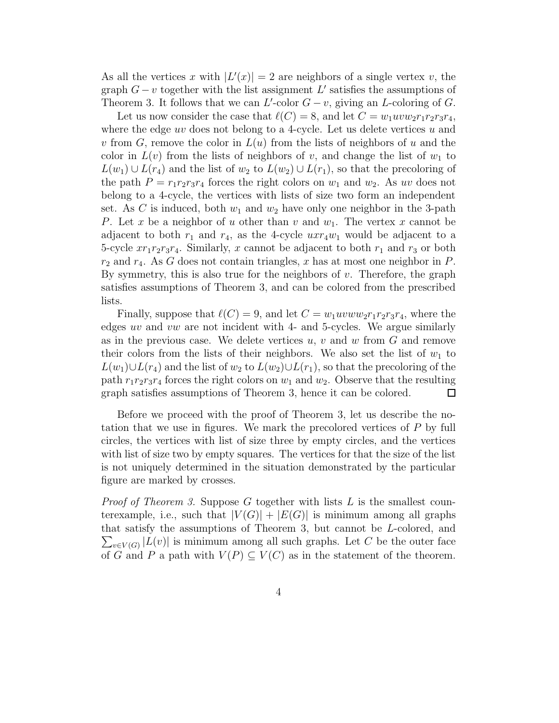As all the vertices x with  $|L'(x)| = 2$  are neighbors of a single vertex v, the graph  $G - v$  together with the list assignment  $L'$  satisfies the assumptions of Theorem 3. It follows that we can  $L'$ -color  $G - v$ , giving an  $L$ -coloring of  $G$ .

Let us now consider the case that  $\ell(C) = 8$ , and let  $C = w_1uvw_2r_1r_2r_3r_4$ , where the edge  $uv$  does not belong to a 4-cycle. Let us delete vertices  $u$  and v from  $G$ , remove the color in  $L(u)$  from the lists of neighbors of u and the color in  $L(v)$  from the lists of neighbors of v, and change the list of  $w_1$  to  $L(w_1) \cup L(r_4)$  and the list of  $w_2$  to  $L(w_2) \cup L(r_1)$ , so that the precoloring of the path  $P = r_1 r_2 r_3 r_4$  forces the right colors on  $w_1$  and  $w_2$ . As uv does not belong to a 4-cycle, the vertices with lists of size two form an independent set. As C is induced, both  $w_1$  and  $w_2$  have only one neighbor in the 3-path P. Let x be a neighbor of u other than v and  $w_1$ . The vertex x cannot be adjacent to both  $r_1$  and  $r_4$ , as the 4-cycle  $uxr_4w_1$  would be adjacent to a 5-cycle  $xr_1r_2r_3r_4$ . Similarly, x cannot be adjacent to both  $r_1$  and  $r_3$  or both  $r_2$  and  $r_4$ . As G does not contain triangles, x has at most one neighbor in P. By symmetry, this is also true for the neighbors of  $v$ . Therefore, the graph satisfies assumptions of Theorem 3, and can be colored from the prescribed lists.

Finally, suppose that  $\ell(C) = 9$ , and let  $C = w_1uvww_2r_1r_2r_3r_4$ , where the edges uv and vw are not incident with 4- and 5-cycles. We argue similarly as in the previous case. We delete vertices  $u, v$  and  $w$  from  $G$  and remove their colors from the lists of their neighbors. We also set the list of  $w_1$  to  $L(w_1) \cup L(r_4)$  and the list of  $w_2$  to  $L(w_2) \cup L(r_1)$ , so that the precoloring of the path  $r_1r_2r_3r_4$  forces the right colors on  $w_1$  and  $w_2$ . Observe that the resulting graph satisfies assumptions of Theorem 3, hence it can be colored.  $\Box$ 

Before we proceed with the proof of Theorem 3, let us describe the notation that we use in figures. We mark the precolored vertices of P by full circles, the vertices with list of size three by empty circles, and the vertices with list of size two by empty squares. The vertices for that the size of the list is not uniquely determined in the situation demonstrated by the particular figure are marked by crosses.

*Proof of Theorem 3.* Suppose G together with lists L is the smallest counterexample, i.e., such that  $|V(G)| + |E(G)|$  is minimum among all graphs that satisfy the assumptions of Theorem 3, but cannot be L-colored, and  $\sum_{v \in V(G)} |L(v)|$  is minimum among all such graphs. Let C be the outer face of G and P a path with  $V(P) \subset V(C)$  as in the statement of the theorem.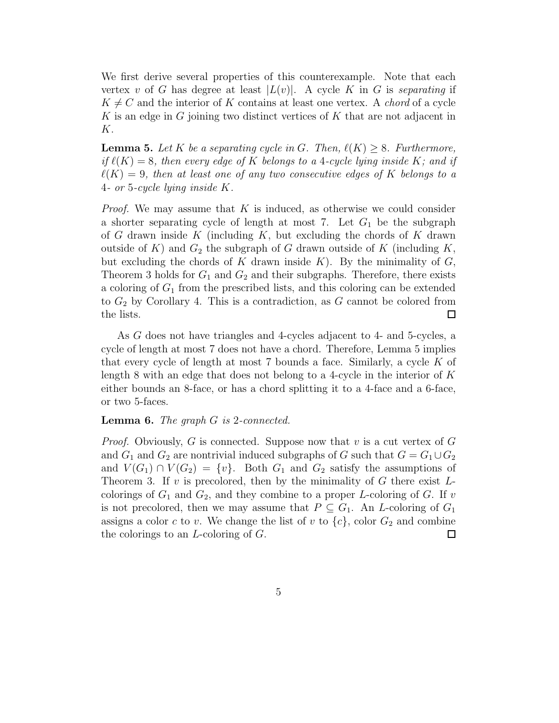We first derive several properties of this counterexample. Note that each vertex v of G has degree at least  $|L(v)|$ . A cycle K in G is separating if  $K \neq C$  and the interior of K contains at least one vertex. A *chord* of a cycle K is an edge in G joining two distinct vertices of K that are not adjacent in K.

**Lemma 5.** Let K be a separating cycle in G. Then,  $\ell(K) > 8$ . Furthermore, if  $\ell(K) = 8$ , then every edge of K belongs to a 4-cycle lying inside K; and if  $\ell(K) = 9$ , then at least one of any two consecutive edges of K belongs to a 4- or 5-cycle lying inside K.

*Proof.* We may assume that  $K$  is induced, as otherwise we could consider a shorter separating cycle of length at most 7. Let  $G_1$  be the subgraph of G drawn inside  $K$  (including  $K$ , but excluding the chords of  $K$  drawn outside of K) and  $G_2$  the subgraph of G drawn outside of K (including K, but excluding the chords of K drawn inside  $K$ ). By the minimality of  $G$ , Theorem 3 holds for  $G_1$  and  $G_2$  and their subgraphs. Therefore, there exists a coloring of  $G_1$  from the prescribed lists, and this coloring can be extended to  $G_2$  by Corollary 4. This is a contradiction, as G cannot be colored from the lists.  $\Box$ 

As G does not have triangles and 4-cycles adjacent to 4- and 5-cycles, a cycle of length at most 7 does not have a chord. Therefore, Lemma 5 implies that every cycle of length at most  $7$  bounds a face. Similarly, a cycle  $K$  of length 8 with an edge that does not belong to a 4-cycle in the interior of  $K$ either bounds an 8-face, or has a chord splitting it to a 4-face and a 6-face, or two 5-faces.

#### **Lemma 6.** The graph  $G$  is 2-connected.

*Proof.* Obviously, G is connected. Suppose now that v is a cut vertex of G and  $G_1$  and  $G_2$  are nontrivial induced subgraphs of G such that  $G = G_1 \cup G_2$ and  $V(G_1) \cap V(G_2) = \{v\}$ . Both  $G_1$  and  $G_2$  satisfy the assumptions of Theorem 3. If  $v$  is precolored, then by the minimality of  $G$  there exist  $L$ colorings of  $G_1$  and  $G_2$ , and they combine to a proper L-coloring of G. If v is not precolored, then we may assume that  $P \subseteq G_1$ . An *L*-coloring of  $G_1$ assigns a color c to v. We change the list of v to  $\{c\}$ , color  $G_2$  and combine the colorings to an L-coloring of G.  $\Box$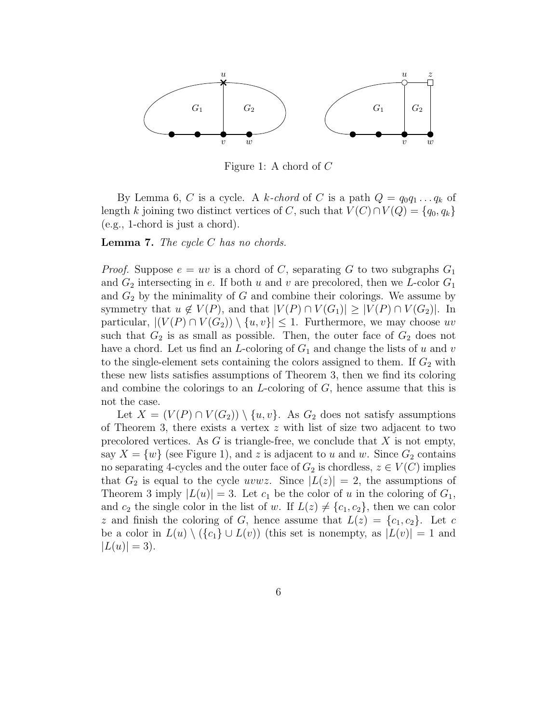

Figure 1: A chord of C

By Lemma 6, C is a cycle. A k-chord of C is a path  $Q = q_0 q_1 \dots q_k$  of length k joining two distinct vertices of C, such that  $V(C) \cap V(Q) = \{q_0, q_k\}$ (e.g., 1-chord is just a chord).

**Lemma 7.** The cycle  $C$  has no chords.

*Proof.* Suppose  $e = uv$  is a chord of C, separating G to two subgraphs  $G_1$ and  $G_2$  intersecting in e. If both u and v are precolored, then we L-color  $G_1$ and  $G_2$  by the minimality of G and combine their colorings. We assume by symmetry that  $u \notin V(P)$ , and that  $|V(P) \cap V(G_1)| \geq |V(P) \cap V(G_2)|$ . In particular,  $| (V(P) \cap V(G_2)) \setminus \{u, v\} | \leq 1$ . Furthermore, we may choose uv such that  $G_2$  is as small as possible. Then, the outer face of  $G_2$  does not have a chord. Let us find an L-coloring of  $G_1$  and change the lists of u and v to the single-element sets containing the colors assigned to them. If  $G_2$  with these new lists satisfies assumptions of Theorem 3, then we find its coloring and combine the colorings to an  $L$ -coloring of  $G$ , hence assume that this is not the case.

Let  $X = (V(P) \cap V(G_2)) \setminus \{u, v\}$ . As  $G_2$  does not satisfy assumptions of Theorem 3, there exists a vertex  $z$  with list of size two adjacent to two precolored vertices. As  $G$  is triangle-free, we conclude that  $X$  is not empty, say  $X = \{w\}$  (see Figure 1), and z is adjacent to u and w. Since  $G_2$  contains no separating 4-cycles and the outer face of  $G_2$  is chordless,  $z \in V(C)$  implies that  $G_2$  is equal to the cycle uvwz. Since  $|L(z)| = 2$ , the assumptions of Theorem 3 imply  $|L(u)| = 3$ . Let  $c_1$  be the color of u in the coloring of  $G_1$ , and  $c_2$  the single color in the list of w. If  $L(z) \neq \{c_1, c_2\}$ , then we can color z and finish the coloring of G, hence assume that  $L(z) = \{c_1, c_2\}$ . Let c be a color in  $L(u) \setminus (\{c_1\} \cup L(v))$  (this set is nonempty, as  $|L(v)| = 1$  and  $|L(u)| = 3$ .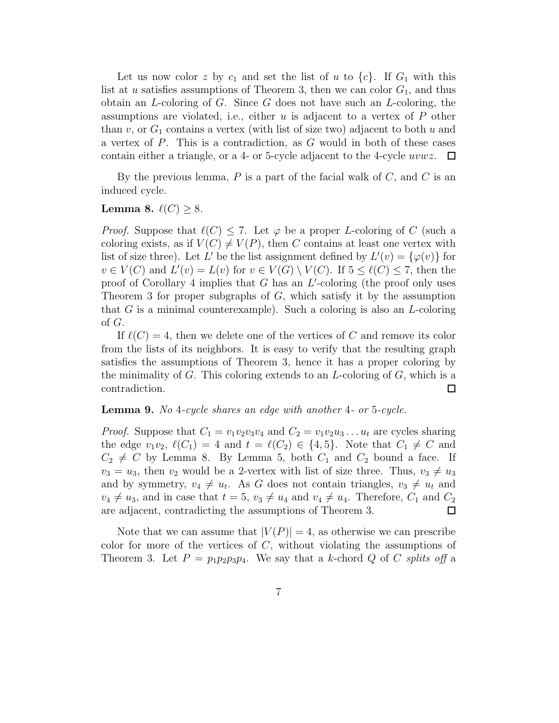Let us now color z by  $c_1$  and set the list of u to  $\{c\}$ . If  $G_1$  with this list at u satisfies assumptions of Theorem 3, then we can color  $G_1$ , and thus obtain an  $L$ -coloring of  $G$ . Since  $G$  does not have such an  $L$ -coloring, the assumptions are violated, i.e., either  $u$  is adjacent to a vertex of  $P$  other than v, or  $G_1$  contains a vertex (with list of size two) adjacent to both u and a vertex of  $P$ . This is a contradiction, as  $G$  would in both of these cases contain either a triangle, or a 4- or 5-cycle adjacent to the 4-cycle uvwz.  $\Box$ 

By the previous lemma,  $P$  is a part of the facial walk of  $C$ , and  $C$  is an induced cycle.

### Lemma 8.  $\ell(C) > 8$ .

*Proof.* Suppose that  $\ell(C) \leq 7$ . Let  $\varphi$  be a proper L-coloring of C (such a coloring exists, as if  $V(C) \neq V(P)$ , then C contains at least one vertex with list of size three). Let L' be the list assignment defined by  $L'(v) = {\varphi(v)}$  for  $v \in V(C)$  and  $L'(v) = L(v)$  for  $v \in V(G) \setminus V(C)$ . If  $5 \leq \ell(C) \leq 7$ , then the proof of Corollary 4 implies that  $G$  has an  $L'$ -coloring (the proof only uses Theorem 3 for proper subgraphs of  $G$ , which satisfy it by the assumption that  $G$  is a minimal counterexample). Such a coloring is also an  $L$ -coloring of G.

If  $\ell(C) = 4$ , then we delete one of the vertices of C and remove its color from the lists of its neighbors. It is easy to verify that the resulting graph satisfies the assumptions of Theorem 3, hence it has a proper coloring by the minimality of  $G$ . This coloring extends to an  $L$ -coloring of  $G$ , which is a contradiction.  $\Box$ 

#### Lemma 9. No 4-cycle shares an edge with another 4- or 5-cycle.

*Proof.* Suppose that  $C_1 = v_1v_2v_3v_4$  and  $C_2 = v_1v_2u_3...u_t$  are cycles sharing the edge  $v_1v_2$ ,  $\ell(C_1) = 4$  and  $t = \ell(C_2) \in \{4, 5\}$ . Note that  $C_1 \neq C$  and  $C_2 \neq C$  by Lemma 8. By Lemma 5, both  $C_1$  and  $C_2$  bound a face. If  $v_3 = u_3$ , then  $v_2$  would be a 2-vertex with list of size three. Thus,  $v_3 \neq u_3$ and by symmetry,  $v_4 \neq u_t$ . As G does not contain triangles,  $v_3 \neq u_t$  and  $v_4 \neq u_3$ , and in case that  $t = 5$ ,  $v_3 \neq u_4$  and  $v_4 \neq u_4$ . Therefore,  $C_1$  and  $C_2$ are adjacent, contradicting the assumptions of Theorem 3.

Note that we can assume that  $|V(P)| = 4$ , as otherwise we can prescribe color for more of the vertices of  $C$ , without violating the assumptions of Theorem 3. Let  $P = p_1p_2p_3p_4$ . We say that a k-chord Q of C splits off a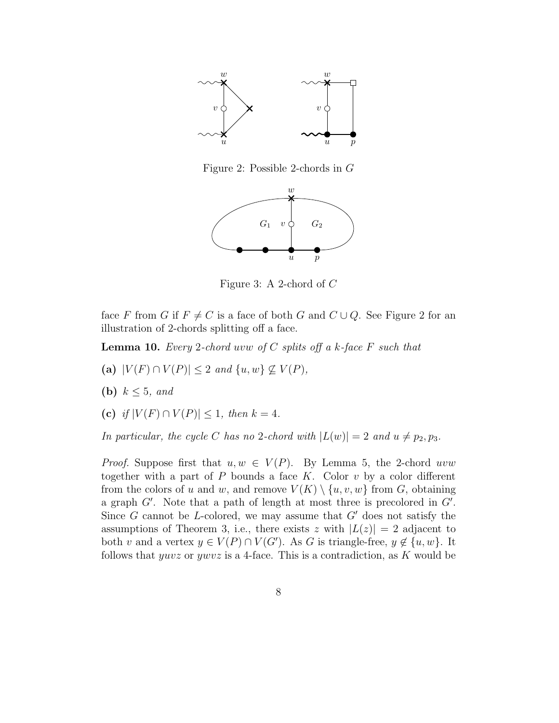

Figure 2: Possible 2-chords in G



Figure 3: A 2-chord of C

face F from G if  $F \neq C$  is a face of both G and  $C \cup Q$ . See Figure 2 for an illustration of 2-chords splitting off a face.

**Lemma 10.** Every 2-chord uvw of C splits off a k-face F such that

- (a)  $|V(F) \cap V(P)| \leq 2$  and  $\{u, w\} \not\subseteq V(P)$ ,
- (b)  $k \leq 5$ , and
- (c) if  $|V(F) \cap V(P)| \leq 1$ , then  $k = 4$ .

In particular, the cycle C has no 2-chord with  $|L(w)| = 2$  and  $u \neq p_2, p_3$ .

*Proof.* Suppose first that  $u, w \in V(P)$ . By Lemma 5, the 2-chord uvw together with a part of  $P$  bounds a face  $K$ . Color  $v$  by a color different from the colors of u and w, and remove  $V(K) \setminus \{u, v, w\}$  from G, obtaining a graph  $G'$ . Note that a path of length at most three is precolored in  $G'$ . Since  $G$  cannot be *L*-colored, we may assume that  $G'$  does not satisfy the assumptions of Theorem 3, i.e., there exists z with  $|L(z)| = 2$  adjacent to both v and a vertex  $y \in V(P) \cap V(G')$ . As G is triangle-free,  $y \notin \{u, w\}$ . It follows that *yuvz* or *ywvz* is a 4-face. This is a contradiction, as K would be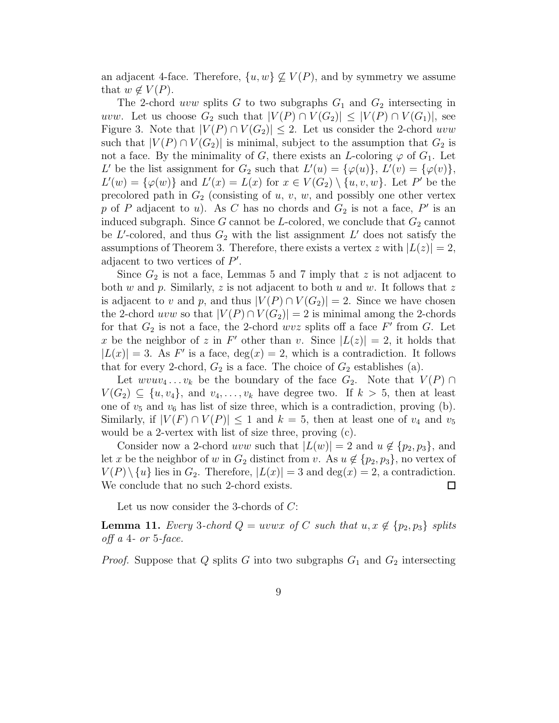an adjacent 4-face. Therefore,  $\{u, w\} \nsubseteq V(P)$ , and by symmetry we assume that  $w \notin V(P)$ .

The 2-chord *uvw* splits G to two subgraphs  $G_1$  and  $G_2$  intersecting in uvw. Let us choose  $G_2$  such that  $|V(P) \cap V(G_2)| \leq |V(P) \cap V(G_1)|$ , see Figure 3. Note that  $|V(P) \cap V(G_2)| \leq 2$ . Let us consider the 2-chord uvw such that  $|V(P) \cap V(G_2)|$  is minimal, subject to the assumption that  $G_2$  is not a face. By the minimality of G, there exists an L-coloring  $\varphi$  of  $G_1$ . Let L' be the list assignment for  $G_2$  such that  $L'(u) = {\varphi(u)}$ ,  $L'(v) = {\varphi(v)}$ ,  $L'(w) = {\varphi(w)}$  and  $L'(x) = L(x)$  for  $x \in V(G_2) \setminus \{u, v, w\}$ . Let P' be the precolored path in  $G_2$  (consisting of u, v, w, and possibly one other vertex p of P adjacent to u). As C has no chords and  $G_2$  is not a face, P' is an induced subgraph. Since G cannot be L-colored, we conclude that  $G_2$  cannot be  $L'$ -colored, and thus  $G_2$  with the list assignment  $L'$  does not satisfy the assumptions of Theorem 3. Therefore, there exists a vertex z with  $|L(z)| = 2$ , adjacent to two vertices of  $P'$ .

Since  $G_2$  is not a face, Lemmas 5 and 7 imply that z is not adjacent to both w and p. Similarly, z is not adjacent to both u and w. It follows that z is adjacent to v and p, and thus  $|V(P) \cap V(G_2)| = 2$ . Since we have chosen the 2-chord uvw so that  $|V(P) \cap V(G_2)| = 2$  is minimal among the 2-chords for that  $G_2$  is not a face, the 2-chord wvz splits off a face  $F'$  from  $G$ . Let x be the neighbor of z in F' other than v. Since  $|L(z)| = 2$ , it holds that  $|L(x)| = 3$ . As F' is a face,  $deg(x) = 2$ , which is a contradiction. It follows that for every 2-chord,  $G_2$  is a face. The choice of  $G_2$  establishes (a).

Let  $wvuv_4 \t ... v_k$  be the boundary of the face  $G_2$ . Note that  $V(P) \cap$  $V(G_2) \subseteq \{u, v_4\}$ , and  $v_4, \ldots, v_k$  have degree two. If  $k > 5$ , then at least one of  $v_5$  and  $v_6$  has list of size three, which is a contradiction, proving (b). Similarly, if  $|V(F) \cap V(P)| \leq 1$  and  $k = 5$ , then at least one of  $v_4$  and  $v_5$ would be a 2-vertex with list of size three, proving (c).

Consider now a 2-chord uvw such that  $|L(w)| = 2$  and  $u \notin \{p_2, p_3\}$ , and let x be the neighbor of w in  $G_2$  distinct from v. As  $u \notin \{p_2, p_3\}$ , no vertex of  $V(P) \setminus \{u\}$  lies in  $G_2$ . Therefore,  $|L(x)| = 3$  and  $\deg(x) = 2$ , a contradiction. We conclude that no such 2-chord exists.  $\Box$ 

Let us now consider the 3-chords of C:

**Lemma 11.** Every 3-chord  $Q = uvwx$  of C such that  $u, x \notin \{p_2, p_3\}$  splits off a 4- or 5-face.

*Proof.* Suppose that Q splits G into two subgraphs  $G_1$  and  $G_2$  intersecting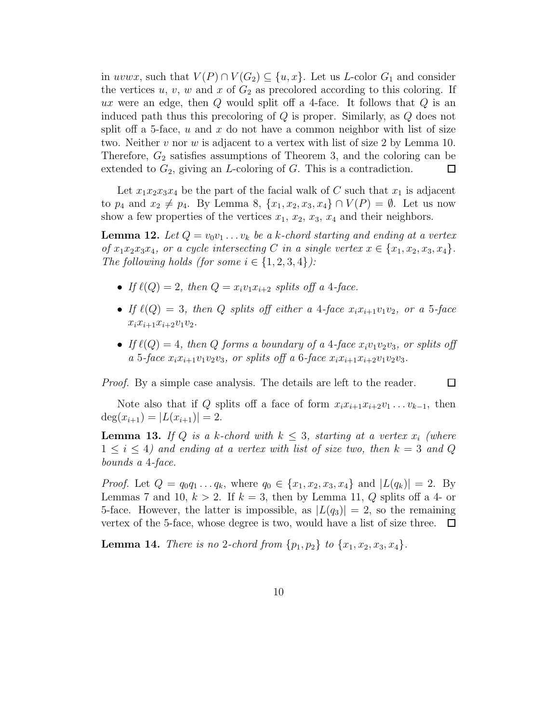in uvwx, such that  $V(P) \cap V(G_2) \subseteq \{u, x\}$ . Let us L-color  $G_1$  and consider the vertices  $u, v, w$  and  $x$  of  $G_2$  as precolored according to this coloring. If ux were an edge, then  $Q$  would split off a 4-face. It follows that  $Q$  is an induced path thus this precoloring of Q is proper. Similarly, as Q does not split of a 5-face,  $u$  and  $x$  do not have a common neighbor with list of size two. Neither v nor w is adjacent to a vertex with list of size 2 by Lemma 10. Therefore,  $G_2$  satisfies assumptions of Theorem 3, and the coloring can be extended to  $G_2$ , giving an *L*-coloring of  $G$ . This is a contradiction.  $\Box$ 

Let  $x_1x_2x_3x_4$  be the part of the facial walk of C such that  $x_1$  is adjacent to  $p_4$  and  $x_2 \neq p_4$ . By Lemma 8,  $\{x_1, x_2, x_3, x_4\} \cap V(P) = \emptyset$ . Let us now show a few properties of the vertices  $x_1, x_2, x_3, x_4$  and their neighbors.

**Lemma 12.** Let  $Q = v_0v_1 \ldots v_k$  be a k-chord starting and ending at a vertex of  $x_1x_2x_3x_4$ , or a cycle intersecting C in a single vertex  $x \in \{x_1, x_2, x_3, x_4\}$ . The following holds (for some  $i \in \{1, 2, 3, 4\}$ ):

- If  $\ell(Q) = 2$ , then  $Q = x_i v_1 x_{i+2}$  splits off a 4-face.
- If  $\ell(Q) = 3$ , then Q splits off either a 4-face  $x_i x_{i+1} v_1 v_2$ , or a 5-face  $x_i x_{i+1} x_{i+2} v_1 v_2$ .
- If  $\ell(Q) = 4$ , then Q forms a boundary of a 4-face  $x_i v_1 v_2 v_3$ , or splits off a 5-face  $x_i x_{i+1} v_1 v_2 v_3$ , or splits off a 6-face  $x_i x_{i+1} x_{i+2} v_1 v_2 v_3$ .

Proof. By a simple case analysis. The details are left to the reader.

 $\Box$ 

Note also that if Q splits off a face of form  $x_i x_{i+1} x_{i+2} v_1 \ldots v_{k-1}$ , then  $deg(x_{i+1}) = |L(x_{i+1})| = 2.$ 

**Lemma 13.** If Q is a k-chord with  $k \leq 3$ , starting at a vertex  $x_i$  (where  $1 \leq i \leq 4$ ) and ending at a vertex with list of size two, then  $k = 3$  and Q bounds a 4-face.

*Proof.* Let  $Q = q_0 q_1 \ldots q_k$ , where  $q_0 \in \{x_1, x_2, x_3, x_4\}$  and  $|L(q_k)| = 2$ . By Lemmas 7 and 10,  $k > 2$ . If  $k = 3$ , then by Lemma 11, Q splits off a 4- or 5-face. However, the latter is impossible, as  $|L(q_3)| = 2$ , so the remaining vertex of the 5-face, whose degree is two, would have a list of size three.  $\Box$ 

**Lemma 14.** There is no 2-chord from  $\{p_1, p_2\}$  to  $\{x_1, x_2, x_3, x_4\}$ .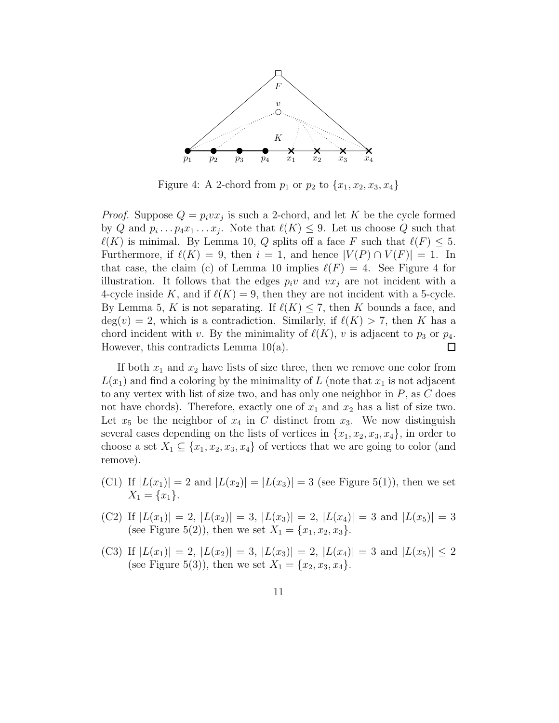

Figure 4: A 2-chord from  $p_1$  or  $p_2$  to  $\{x_1, x_2, x_3, x_4\}$ 

*Proof.* Suppose  $Q = p_i v x_j$  is such a 2-chord, and let K be the cycle formed by Q and  $p_i \dots p_4 x_1 \dots x_j$ . Note that  $\ell(K) \leq 9$ . Let us choose Q such that  $\ell(K)$  is minimal. By Lemma 10, Q splits off a face F such that  $\ell(F) \leq 5$ . Furthermore, if  $\ell(K) = 9$ , then  $i = 1$ , and hence  $|V(P) \cap V(F)| = 1$ . In that case, the claim (c) of Lemma 10 implies  $\ell(F) = 4$ . See Figure 4 for illustration. It follows that the edges  $p_i v$  and  $v x_i$  are not incident with a 4-cycle inside K, and if  $\ell(K) = 9$ , then they are not incident with a 5-cycle. By Lemma 5, K is not separating. If  $\ell(K) \leq 7$ , then K bounds a face, and  $deg(v) = 2$ , which is a contradiction. Similarly, if  $\ell(K) > 7$ , then K has a chord incident with v. By the minimality of  $\ell(K)$ , v is adjacent to  $p_3$  or  $p_4$ . However, this contradicts Lemma 10(a).  $\Box$ 

If both  $x_1$  and  $x_2$  have lists of size three, then we remove one color from  $L(x_1)$  and find a coloring by the minimality of L (note that  $x_1$  is not adjacent to any vertex with list of size two, and has only one neighbor in  $P$ , as  $C$  does not have chords). Therefore, exactly one of  $x_1$  and  $x_2$  has a list of size two. Let  $x_5$  be the neighbor of  $x_4$  in C distinct from  $x_3$ . We now distinguish several cases depending on the lists of vertices in  $\{x_1, x_2, x_3, x_4\}$ , in order to choose a set  $X_1 \subseteq \{x_1, x_2, x_3, x_4\}$  of vertices that we are going to color (and remove).

- (C1) If  $|L(x_1)| = 2$  and  $|L(x_2)| = |L(x_3)| = 3$  (see Figure 5(1)), then we set  $X_1 = \{x_1\}.$
- (C2) If  $|L(x_1)| = 2$ ,  $|L(x_2)| = 3$ ,  $|L(x_3)| = 2$ ,  $|L(x_4)| = 3$  and  $|L(x_5)| = 3$ (see Figure 5(2)), then we set  $X_1 = \{x_1, x_2, x_3\}.$
- (C3) If  $|L(x_1)| = 2$ ,  $|L(x_2)| = 3$ ,  $|L(x_3)| = 2$ ,  $|L(x_4)| = 3$  and  $|L(x_5)| \leq 2$ (see Figure 5(3)), then we set  $X_1 = \{x_2, x_3, x_4\}.$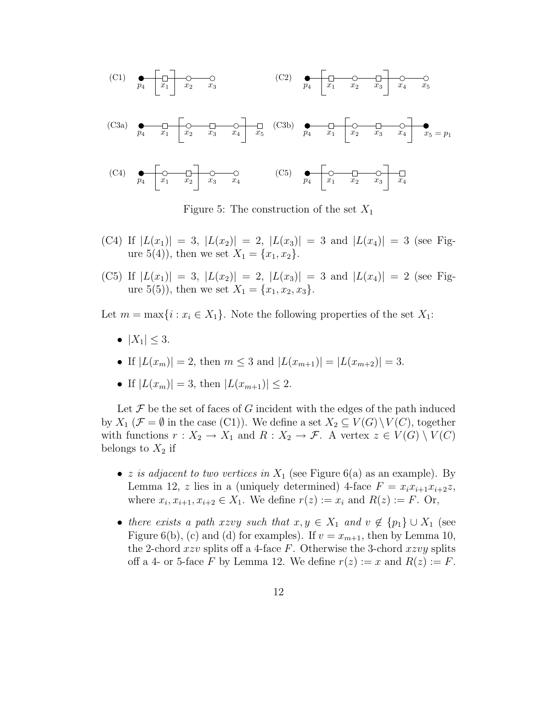

Figure 5: The construction of the set  $X_1$ 

- (C4) If  $|L(x_1)| = 3$ ,  $|L(x_2)| = 2$ ,  $|L(x_3)| = 3$  and  $|L(x_4)| = 3$  (see Figure 5(4)), then we set  $X_1 = \{x_1, x_2\}.$
- (C5) If  $|L(x_1)| = 3$ ,  $|L(x_2)| = 2$ ,  $|L(x_3)| = 3$  and  $|L(x_4)| = 2$  (see Figure 5(5)), then we set  $X_1 = \{x_1, x_2, x_3\}.$

Let  $m = \max\{i : x_i \in X_1\}$ . Note the following properties of the set  $X_1$ :

- $|X_1| < 3$ .
- If  $|L(x_m)| = 2$ , then  $m \leq 3$  and  $|L(x_{m+1})| = |L(x_{m+2})| = 3$ .
- If  $|L(x_m)| = 3$ , then  $|L(x_{m+1})| \leq 2$ .

Let  $\mathcal F$  be the set of faces of G incident with the edges of the path induced by  $X_1$  ( $\mathcal{F} = \emptyset$  in the case (C1)). We define a set  $X_2 \subseteq V(G) \setminus V(C)$ , together with functions  $r : X_2 \to X_1$  and  $R : X_2 \to \mathcal{F}$ . A vertex  $z \in V(G) \setminus V(C)$ belongs to  $X_2$  if

- *z* is adjacent to two vertices in  $X_1$  (see Figure 6(a) as an example). By Lemma 12, z lies in a (uniquely determined) 4-face  $F = x_i x_{i+1} x_{i+2}$ z, where  $x_i, x_{i+1}, x_{i+2} \in X_1$ . We define  $r(z) := x_i$  and  $R(z) := F$ . Or,
- there exists a path xzvy such that  $x, y \in X_1$  and  $v \notin \{p_1\} \cup X_1$  (see Figure 6(b), (c) and (d) for examples). If  $v = x_{m+1}$ , then by Lemma 10, the 2-chord xzv splits of a 4-face F. Otherwise the 3-chord xzvy splits off a 4- or 5-face F by Lemma 12. We define  $r(z) := x$  and  $R(z) := F$ .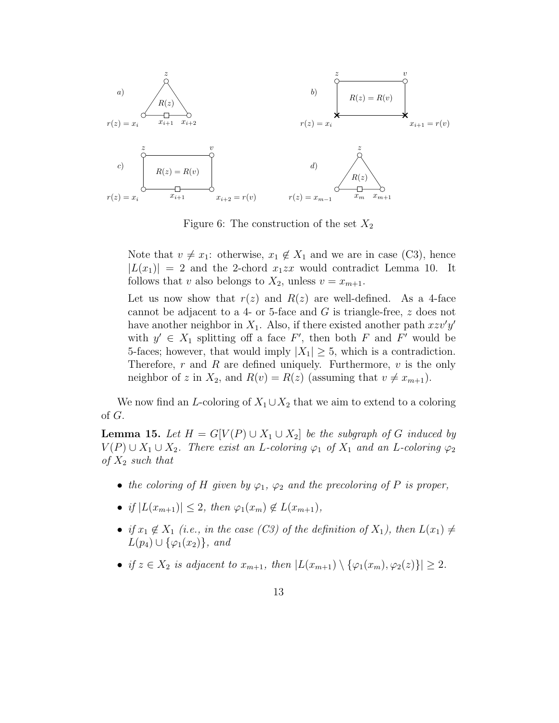

Figure 6: The construction of the set  $X_2$ 

Note that  $v \neq x_1$ : otherwise,  $x_1 \notin X_1$  and we are in case (C3), hence  $|L(x_1)| = 2$  and the 2-chord  $x_1zx$  would contradict Lemma 10. It follows that v also belongs to  $X_2$ , unless  $v = x_{m+1}$ .

Let us now show that  $r(z)$  and  $R(z)$  are well-defined. As a 4-face cannot be adjacent to a 4- or 5-face and  $G$  is triangle-free,  $z$  does not have another neighbor in  $X_1$ . Also, if there existed another path  $xzv'y'$ with  $y' \in X_1$  splitting off a face F', then both F and F' would be 5-faces; however, that would imply  $|X_1| > 5$ , which is a contradiction. Therefore,  $r$  and  $R$  are defined uniquely. Furthermore,  $v$  is the only neighbor of z in  $X_2$ , and  $R(v) = R(z)$  (assuming that  $v \neq x_{m+1}$ ).

We now find an L-coloring of  $X_1 \cup X_2$  that we aim to extend to a coloring of G.

**Lemma 15.** Let  $H = G[V(P) \cup X_1 \cup X_2]$  be the subgraph of G induced by  $V(P) \cup X_1 \cup X_2$ . There exist an L-coloring  $\varphi_1$  of  $X_1$  and an L-coloring  $\varphi_2$ of  $X_2$  such that

- the coloring of H given by  $\varphi_1$ ,  $\varphi_2$  and the precoloring of P is proper,
- if  $|L(x_{m+1})| \leq 2$ , then  $\varphi_1(x_m) \notin L(x_{m+1}),$
- if  $x_1 \notin X_1$  (i.e., in the case (C3) of the definition of  $X_1$ ), then  $L(x_1) \neq$  $L(p_4) \cup {\varphi_1(x_2)}$ , and
- if  $z \in X_2$  is adjacent to  $x_{m+1}$ , then  $|L(x_{m+1}) \setminus {\varphi_1(x_m), \varphi_2(z)}| \geq 2$ .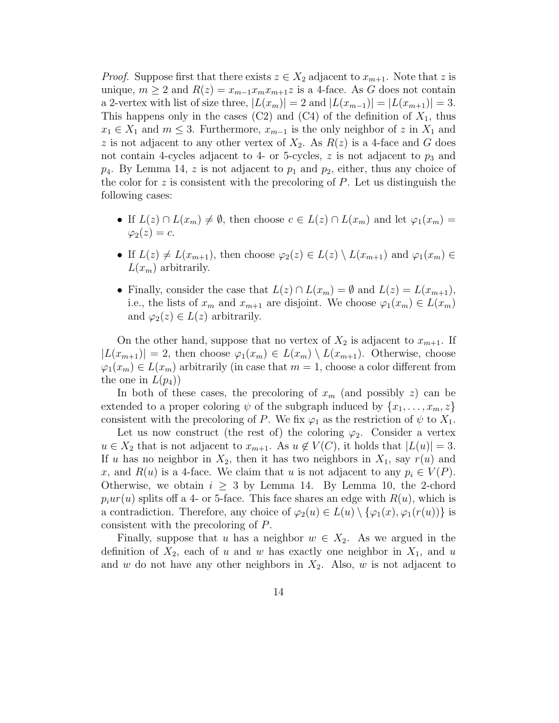*Proof.* Suppose first that there exists  $z \in X_2$  adjacent to  $x_{m+1}$ . Note that z is unique,  $m \geq 2$  and  $R(z) = x_{m-1}x_mx_{m+1}z$  is a 4-face. As G does not contain a 2-vertex with list of size three,  $|L(x_m)| = 2$  and  $|L(x_{m-1})| = |L(x_{m+1})| = 3$ . This happens only in the cases  $(C2)$  and  $(C4)$  of the definition of  $X_1$ , thus  $x_1 \in X_1$  and  $m \leq 3$ . Furthermore,  $x_{m-1}$  is the only neighbor of z in  $X_1$  and z is not adjacent to any other vertex of  $X_2$ . As  $R(z)$  is a 4-face and G does not contain 4-cycles adjacent to 4- or 5-cycles,  $z$  is not adjacent to  $p_3$  and  $p_4$ . By Lemma 14, z is not adjacent to  $p_1$  and  $p_2$ , either, thus any choice of the color for z is consistent with the precoloring of  $P$ . Let us distinguish the following cases:

- If  $L(z) \cap L(x_m) \neq \emptyset$ , then choose  $c \in L(z) \cap L(x_m)$  and let  $\varphi_1(x_m) =$  $\varphi_2(z) = c$ .
- If  $L(z) \neq L(x_{m+1})$ , then choose  $\varphi_2(z) \in L(z) \setminus L(x_{m+1})$  and  $\varphi_1(x_m) \in$  $L(x_m)$  arbitrarily.
- Finally, consider the case that  $L(z) \cap L(x_m) = \emptyset$  and  $L(z) = L(x_{m+1}),$ i.e., the lists of  $x_m$  and  $x_{m+1}$  are disjoint. We choose  $\varphi_1(x_m) \in L(x_m)$ and  $\varphi_2(z) \in L(z)$  arbitrarily.

On the other hand, suppose that no vertex of  $X_2$  is adjacent to  $x_{m+1}$ . If  $|L(x_{m+1})| = 2$ , then choose  $\varphi_1(x_m) \in L(x_m) \setminus L(x_{m+1})$ . Otherwise, choose  $\varphi_1(x_m) \in L(x_m)$  arbitrarily (in case that  $m = 1$ , choose a color different from the one in  $L(p_4)$ 

In both of these cases, the precoloring of  $x_m$  (and possibly z) can be extended to a proper coloring  $\psi$  of the subgraph induced by  $\{x_1, \ldots, x_m, z\}$ consistent with the precoloring of P. We fix  $\varphi_1$  as the restriction of  $\psi$  to  $X_1$ .

Let us now construct (the rest of) the coloring  $\varphi_2$ . Consider a vertex  $u \in X_2$  that is not adjacent to  $x_{m+1}$ . As  $u \notin V(C)$ , it holds that  $|L(u)| = 3$ . If u has no neighbor in  $X_2$ , then it has two neighbors in  $X_1$ , say  $r(u)$  and x, and  $R(u)$  is a 4-face. We claim that u is not adjacent to any  $p_i \in V(P)$ . Otherwise, we obtain  $i \geq 3$  by Lemma 14. By Lemma 10, the 2-chord  $p_iur(u)$  splits off a 4- or 5-face. This face shares an edge with  $R(u)$ , which is a contradiction. Therefore, any choice of  $\varphi_2(u) \in L(u) \setminus {\varphi_1(x), \varphi_1(r(u))}$  is consistent with the precoloring of P.

Finally, suppose that u has a neighbor  $w \in X_2$ . As we argued in the definition of  $X_2$ , each of u and w has exactly one neighbor in  $X_1$ , and u and w do not have any other neighbors in  $X_2$ . Also, w is not adjacent to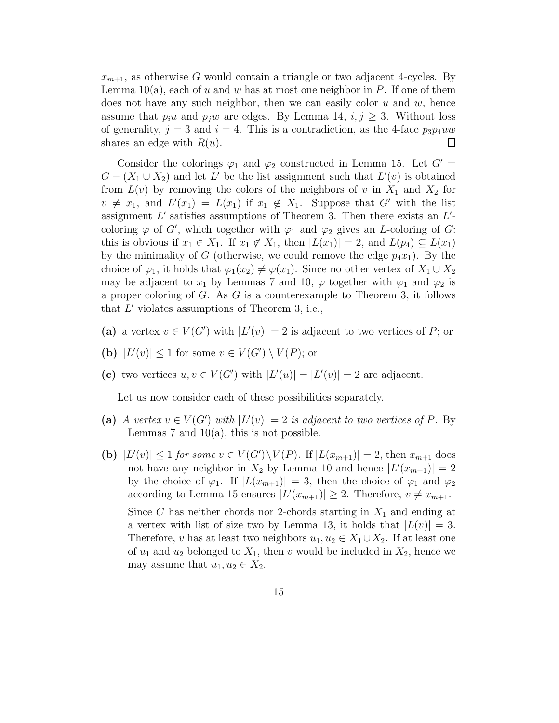$x_{m+1}$ , as otherwise G would contain a triangle or two adjacent 4-cycles. By Lemma  $10(a)$ , each of u and w has at most one neighbor in P. If one of them does not have any such neighbor, then we can easily color  $u$  and  $w$ , hence assume that  $p_i u$  and  $p_j w$  are edges. By Lemma 14,  $i, j \geq 3$ . Without loss of generality,  $j = 3$  and  $i = 4$ . This is a contradiction, as the 4-face  $p_3p_4uw$ shares an edge with  $R(u)$ .  $\Box$ 

Consider the colorings  $\varphi_1$  and  $\varphi_2$  constructed in Lemma 15. Let  $G' =$  $G - (X_1 \cup X_2)$  and let L' be the list assignment such that  $L'(v)$  is obtained from  $L(v)$  by removing the colors of the neighbors of v in  $X_1$  and  $X_2$  for  $v \neq x_1$ , and  $L'(x_1) = L(x_1)$  if  $x_1 \notin X_1$ . Suppose that G' with the list assignment  $L'$  satisfies assumptions of Theorem 3. Then there exists an  $L'$ coloring  $\varphi$  of G', which together with  $\varphi_1$  and  $\varphi_2$  gives an L-coloring of G: this is obvious if  $x_1 \in X_1$ . If  $x_1 \notin X_1$ , then  $|L(x_1)| = 2$ , and  $L(p_4) \subseteq L(x_1)$ by the minimality of G (otherwise, we could remove the edge  $p_4x_1$ ). By the choice of  $\varphi_1$ , it holds that  $\varphi_1(x_2) \neq \varphi(x_1)$ . Since no other vertex of  $X_1 \cup X_2$ may be adjacent to  $x_1$  by Lemmas 7 and 10,  $\varphi$  together with  $\varphi_1$  and  $\varphi_2$  is a proper coloring of  $G$ . As  $G$  is a counterexample to Theorem 3, it follows that  $L'$  violates assumptions of Theorem 3, i.e.,

- (a) a vertex  $v \in V(G')$  with  $|L'(v)| = 2$  is adjacent to two vertices of P; or
- (b)  $|L'(v)| \leq 1$  for some  $v \in V(G') \setminus V(P)$ ; or
- (c) two vertices  $u, v \in V(G')$  with  $|L'(u)| = |L'(v)| = 2$  are adjacent.

Let us now consider each of these possibilities separately.

- (a) A vertex  $v \in V(G')$  with  $|L'(v)| = 2$  is adjacent to two vertices of P. By Lemmas 7 and  $10(a)$ , this is not possible.
- (b)  $|L'(v)| \leq 1$  for some  $v \in V(G') \setminus V(P)$ . If  $|L(x_{m+1})| = 2$ , then  $x_{m+1}$  does not have any neighbor in  $X_2$  by Lemma 10 and hence  $|L'(x_{m+1})|=2$ by the choice of  $\varphi_1$ . If  $|L(x_{m+1})| = 3$ , then the choice of  $\varphi_1$  and  $\varphi_2$ according to Lemma 15 ensures  $|L'(x_{m+1})| \geq 2$ . Therefore,  $v \neq x_{m+1}$ . Since C has neither chords nor 2-chords starting in  $X_1$  and ending at a vertex with list of size two by Lemma 13, it holds that  $|L(v)| = 3$ . Therefore, v has at least two neighbors  $u_1, u_2 \in X_1 \cup X_2$ . If at least one of  $u_1$  and  $u_2$  belonged to  $X_1$ , then v would be included in  $X_2$ , hence we may assume that  $u_1, u_2 \in X_2$ .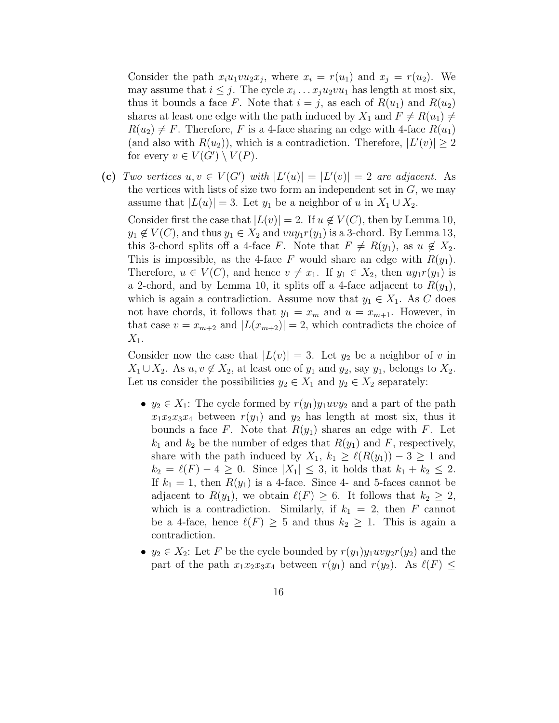Consider the path  $x_i u_1 v u_2 x_j$ , where  $x_i = r(u_1)$  and  $x_j = r(u_2)$ . We may assume that  $i \leq j$ . The cycle  $x_i \dots x_j u_2 v u_1$  has length at most six, thus it bounds a face F. Note that  $i = j$ , as each of  $R(u_1)$  and  $R(u_2)$ shares at least one edge with the path induced by  $X_1$  and  $F \neq R(u_1) \neq$  $R(u_2) \neq F$ . Therefore, F is a 4-face sharing an edge with 4-face  $R(u_1)$ (and also with  $R(u_2)$ ), which is a contradiction. Therefore,  $|L'(v)| \geq 2$ for every  $v \in V(G') \setminus V(P)$ .

(c) Two vertices  $u, v \in V(G')$  with  $|L'(u)| = |L'(v)| = 2$  are adjacent. As the vertices with lists of size two form an independent set in  $G$ , we may assume that  $|L(u)| = 3$ . Let  $y_1$  be a neighbor of u in  $X_1 \cup X_2$ .

Consider first the case that  $|L(v)| = 2$ . If  $u \notin V(C)$ , then by Lemma 10,  $y_1 \notin V(C)$ , and thus  $y_1 \in X_2$  and  $vuy_1r(y_1)$  is a 3-chord. By Lemma 13, this 3-chord splits off a 4-face F. Note that  $F \neq R(y_1)$ , as  $u \notin X_2$ . This is impossible, as the 4-face F would share an edge with  $R(y_1)$ . Therefore,  $u \in V(C)$ , and hence  $v \neq x_1$ . If  $y_1 \in X_2$ , then  $uy_1r(y_1)$  is a 2-chord, and by Lemma 10, it splits off a 4-face adjacent to  $R(y_1)$ , which is again a contradiction. Assume now that  $y_1 \in X_1$ . As C does not have chords, it follows that  $y_1 = x_m$  and  $u = x_{m+1}$ . However, in that case  $v = x_{m+2}$  and  $|L(x_{m+2})| = 2$ , which contradicts the choice of  $X_1$ .

Consider now the case that  $|L(v)| = 3$ . Let  $y_2$  be a neighbor of v in  $X_1 \cup X_2$ . As  $u, v \notin X_2$ , at least one of  $y_1$  and  $y_2$ , say  $y_1$ , belongs to  $X_2$ . Let us consider the possibilities  $y_2 \in X_1$  and  $y_2 \in X_2$  separately:

- $y_2 \in X_1$ : The cycle formed by  $r(y_1)y_1uvy_2$  and a part of the path  $x_1x_2x_3x_4$  between  $r(y_1)$  and  $y_2$  has length at most six, thus it bounds a face F. Note that  $R(y_1)$  shares an edge with F. Let  $k_1$  and  $k_2$  be the number of edges that  $R(y_1)$  and F, respectively, share with the path induced by  $X_1, k_1 \geq \ell(R(y_1)) - 3 \geq 1$  and  $k_2 = \ell(F) - 4 \geq 0$ . Since  $|X_1| \leq 3$ , it holds that  $k_1 + k_2 \leq 2$ . If  $k_1 = 1$ , then  $R(y_1)$  is a 4-face. Since 4- and 5-faces cannot be adjacent to  $R(y_1)$ , we obtain  $\ell(F) \geq 6$ . It follows that  $k_2 \geq 2$ , which is a contradiction. Similarly, if  $k_1 = 2$ , then F cannot be a 4-face, hence  $\ell(F) \geq 5$  and thus  $k_2 \geq 1$ . This is again a contradiction.
- $y_2 \in X_2$ : Let F be the cycle bounded by  $r(y_1)y_1uvy_2r(y_2)$  and the part of the path  $x_1x_2x_3x_4$  between  $r(y_1)$  and  $r(y_2)$ . As  $\ell(F) \leq$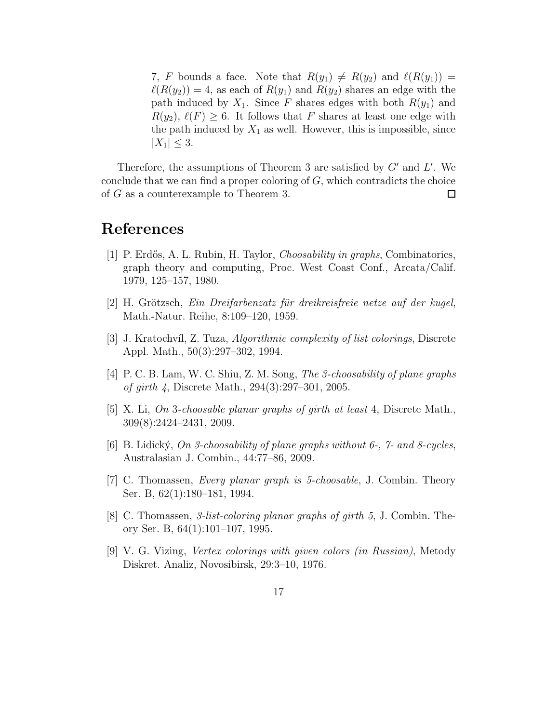7, F bounds a face. Note that  $R(y_1) \neq R(y_2)$  and  $\ell(R(y_1)) =$  $\ell(R(y_2)) = 4$ , as each of  $R(y_1)$  and  $R(y_2)$  shares an edge with the path induced by  $X_1$ . Since F shares edges with both  $R(y_1)$  and  $R(y_2), \ell(F) \geq 6$ . It follows that F shares at least one edge with the path induced by  $X_1$  as well. However, this is impossible, since  $|X_1| \leq 3.$ 

Therefore, the assumptions of Theorem 3 are satisfied by  $G'$  and  $L'$ . We conclude that we can find a proper coloring of  $G$ , which contradicts the choice of G as a counterexample to Theorem 3.  $\Box$ 

### References

- [1] P. Erdős, A. L. Rubin, H. Taylor, *Choosability in graphs*, Combinatorics, graph theory and computing, Proc. West Coast Conf., Arcata/Calif. 1979, 125–157, 1980.
- $[2]$  H. Grötzsch, Ein Dreifarbenzatz für dreikreisfreie netze auf der kugel, Math.-Natur. Reihe, 8:109–120, 1959.
- [3] J. Kratochv´ıl, Z. Tuza, Algorithmic complexity of list colorings, Discrete Appl. Math., 50(3):297–302, 1994.
- [4] P. C. B. Lam, W. C. Shiu, Z. M. Song, The 3-choosability of plane graphs of girth 4, Discrete Math., 294(3):297–301, 2005.
- [5] X. Li, On 3-choosable planar graphs of girth at least 4, Discrete Math., 309(8):2424–2431, 2009.
- $[6]$  B. Lidický, On 3-choosability of plane graphs without 6-,  $\%$  and 8-cycles, Australasian J. Combin., 44:77–86, 2009.
- [7] C. Thomassen, Every planar graph is 5-choosable, J. Combin. Theory Ser. B, 62(1):180–181, 1994.
- [8] C. Thomassen, 3-list-coloring planar graphs of girth 5, J. Combin. Theory Ser. B, 64(1):101–107, 1995.
- [9] V. G. Vizing, Vertex colorings with given colors (in Russian), Metody Diskret. Analiz, Novosibirsk, 29:3–10, 1976.